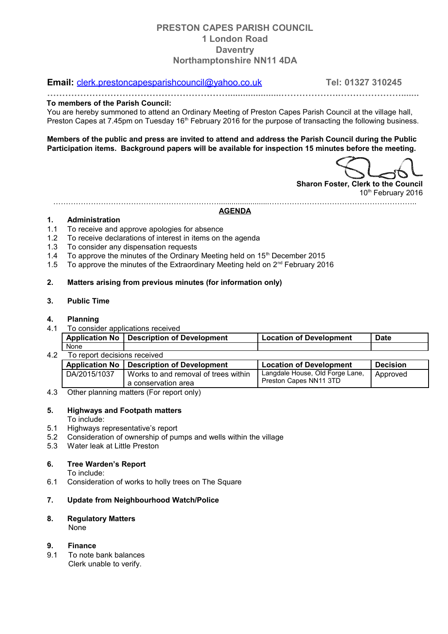# **PRESTON CAPES PARISH COUNCIL 1 London Road Daventry Northamptonshire NN11 4DA**

## **Email:** [clerk.prestoncapesparishcouncil@yahoo.co.uk](mailto:clerk.prestoncapesparishcouncil@yahoo.co.uk) **Tel: 01327 310245**

**…………………………………………………….....................……………….………………….......**

#### **To members of the Parish Council:**

You are hereby summoned to attend an Ordinary Meeting of Preston Capes Parish Council at the village hall, Preston Capes at 7.45pm on Tuesday 16<sup>th</sup> February 2016 for the purpose of transacting the following business.

**Members of the public and press are invited to attend and address the Parish Council during the Public Participation items. Background papers will be available for inspection 15 minutes before the meeting.**

**Sharon Foster, Clerk to the Council** 10<sup>th</sup> February 2016

…………………………………………………………........................………………………………………………….. **AGENDA**

#### **1. Administration**

- 1.1 To receive and approve apologies for absence
- 1.2 To receive declarations of interest in items on the agenda
- 1.3 To consider any dispensation requests
- 1.4 To approve the minutes of the Ordinary Meeting held on  $15<sup>th</sup>$  December 2015
- 1.5 To approve the minutes of the Extraordinary Meeting held on  $2<sup>nd</sup>$  February 2016

### **2. Matters arising from previous minutes (for information only)**

### **3. Public Time**

### **4. Planning**

4.1 To consider applications received

|     |                              | Application No   Description of Development | <b>Location of Development</b>  | <b>Date</b>     |  |  |  |  |  |
|-----|------------------------------|---------------------------------------------|---------------------------------|-----------------|--|--|--|--|--|
|     | None                         |                                             |                                 |                 |  |  |  |  |  |
| 4.2 | To report decisions received |                                             |                                 |                 |  |  |  |  |  |
|     |                              | Application No   Description of Development | <b>Location of Development</b>  | <b>Decision</b> |  |  |  |  |  |
|     | DA/2015/1037                 | Works to and removal of trees within        | Langdale House, Old Forge Lane, | Approved        |  |  |  |  |  |
|     |                              | a conservation area                         | Preston Capes NN11 3TD          |                 |  |  |  |  |  |

4.3 Other planning matters (For report only)

### **5. Highways and Footpath matters**

To include:

- 5.1 Highways representative's report
- 5.2 Consideration of ownership of pumps and wells within the village
- 5.3 Water leak at Little Preston

## **6. Tree Warden's Report**

To include:

6.1 Consideration of works to holly trees on The Square

## **7. Update from Neighbourhood Watch/Police**

# **8. Regulatory Matters**

None

## **9. Finance**

9.1 To note bank balances Clerk unable to verify.